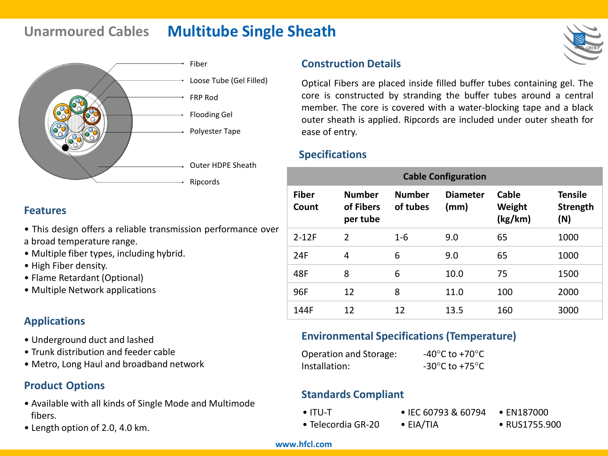# **Unarmoured Cables Multitube Single Sheath**



### **Features**

- This design offers a reliable transmission performance over a broad temperature range.
- Multiple fiber types, including hybrid.
- High Fiber density.
- Flame Retardant (Optional)
- Multiple Network applications

# **Applications**

- Underground duct and lashed
- Trunk distribution and feeder cable
- Metro, Long Haul and broadband network

# **Product Options**

- Available with all kinds of Single Mode and Multimode fibers.
- Length option of 2.0, 4.0 km.

### **Construction Details**

Optical Fibers are placed inside filled buffer tubes containing gel. The core is constructed by stranding the buffer tubes around a central member. The core is covered with a water-blocking tape and a black outer sheath is applied. Ripcords are included under outer sheath for ease of entry.

### **Specifications**

| <b>Cable Configuration</b> |                                        |                           |                         |                            |                                   |  |  |
|----------------------------|----------------------------------------|---------------------------|-------------------------|----------------------------|-----------------------------------|--|--|
| <b>Fiber</b><br>Count      | <b>Number</b><br>of Fibers<br>per tube | <b>Number</b><br>of tubes | <b>Diameter</b><br>(mm) | Cable<br>Weight<br>(kg/km) | <b>Tensile</b><br>Strength<br>(N) |  |  |
| $2 - 12F$                  | $\overline{2}$                         | $1-6$                     | 9.0                     | 65                         | 1000                              |  |  |
| 24F                        | 4                                      | 6                         | 9.0                     | 65                         | 1000                              |  |  |
| 48F                        | 8                                      | 6                         | 10.0                    | 75                         | 1500                              |  |  |
| 96F                        | 12                                     | 8                         | 11.0                    | 100                        | 2000                              |  |  |
| 144F                       | 12                                     | 12                        | 13.5                    | 160                        | 3000                              |  |  |

### **Environmental Specifications (Temperature)**

| Operation and Storage: | -40 $^{\circ}$ C to +70 $^{\circ}$ C                 |
|------------------------|------------------------------------------------------|
| Installation:          | -30 $\mathrm{^{\circ}C}$ to +75 $\mathrm{^{\circ}C}$ |

### **Standards Compliant**

• ITU-T

• IEC 60793 & 60794

- Telecordia GR-20
- EIA/TIA
- RUS1755.900

• EN187000

#### **www.hfcl.com**